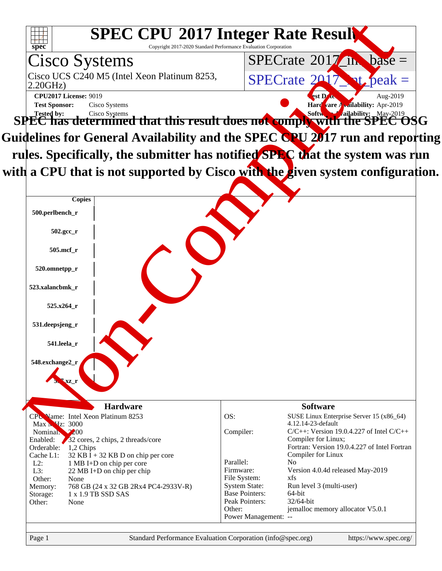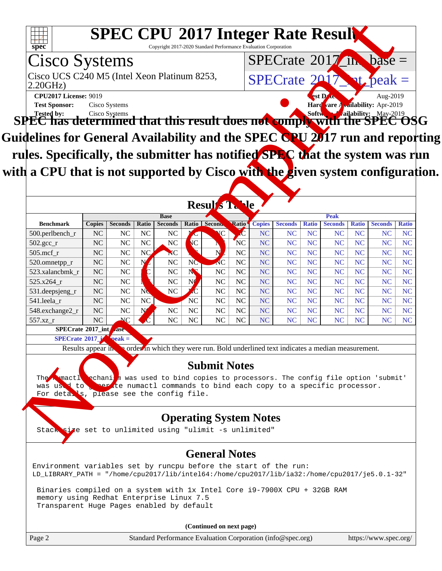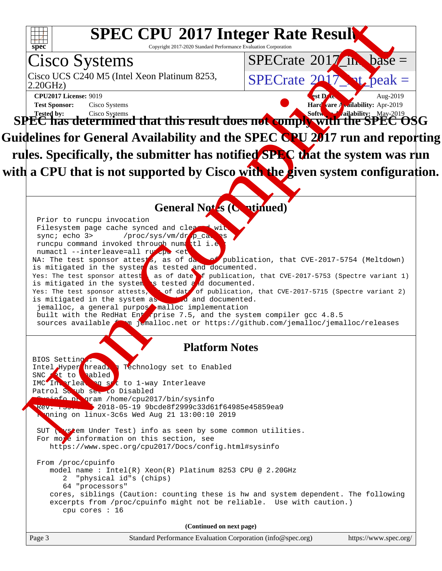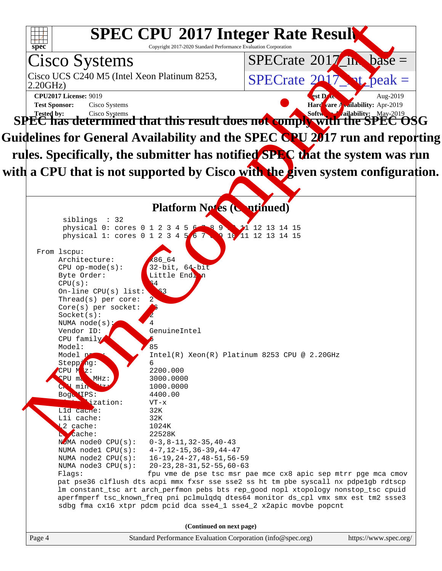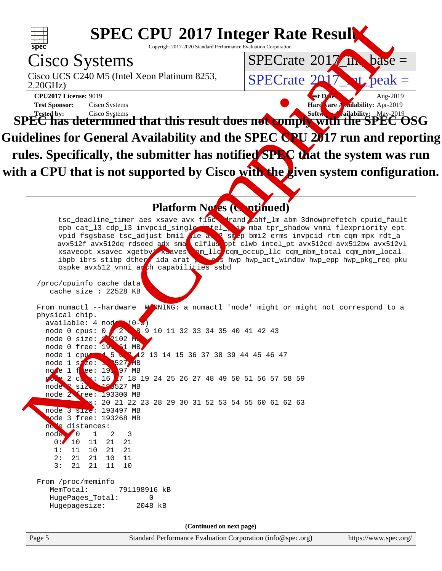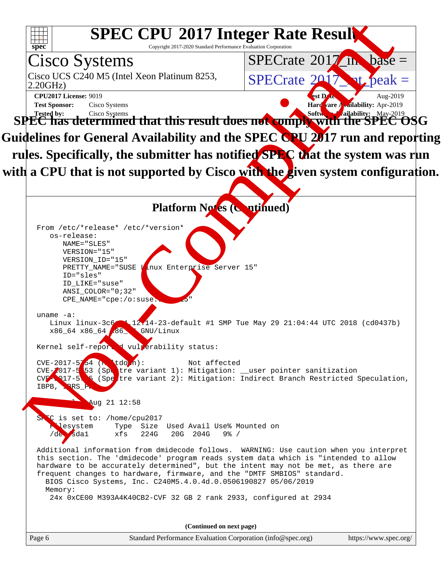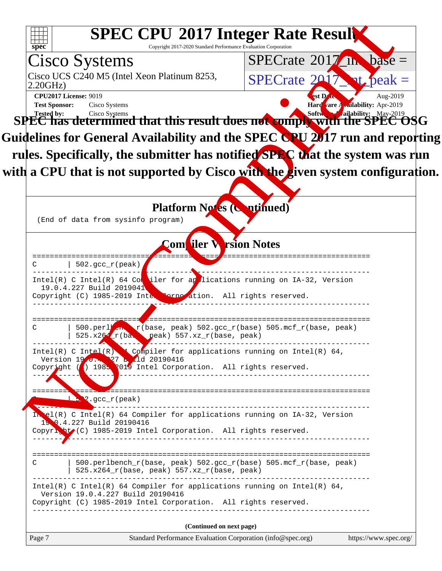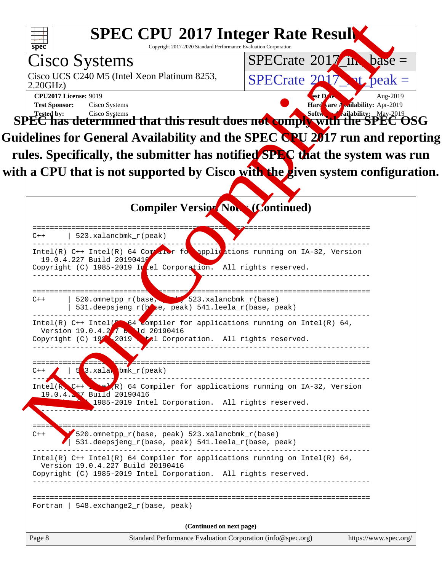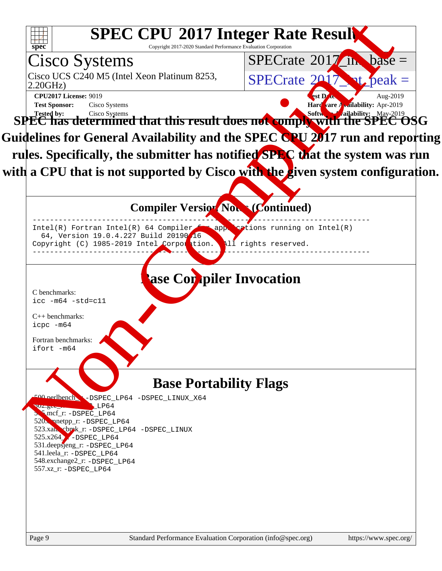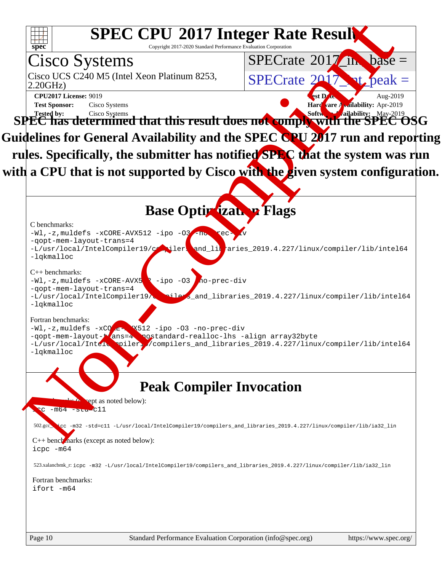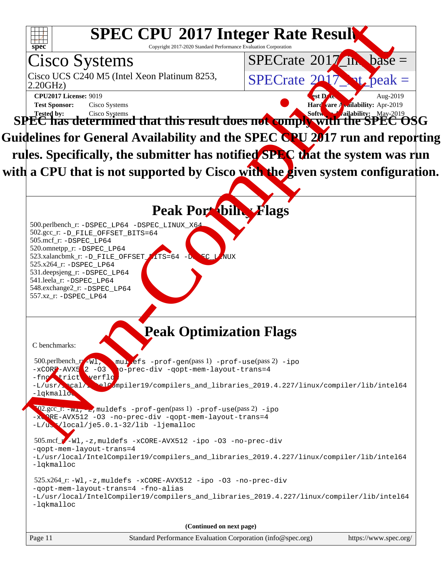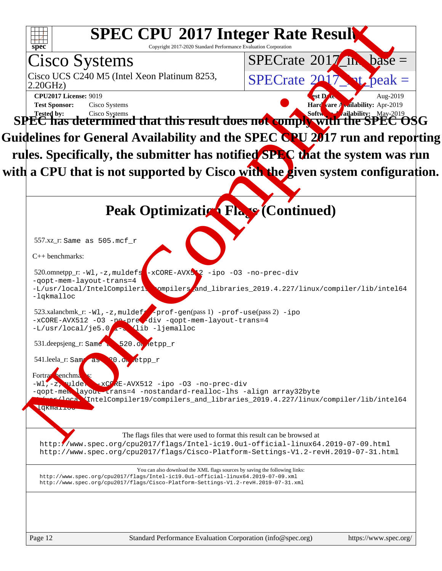